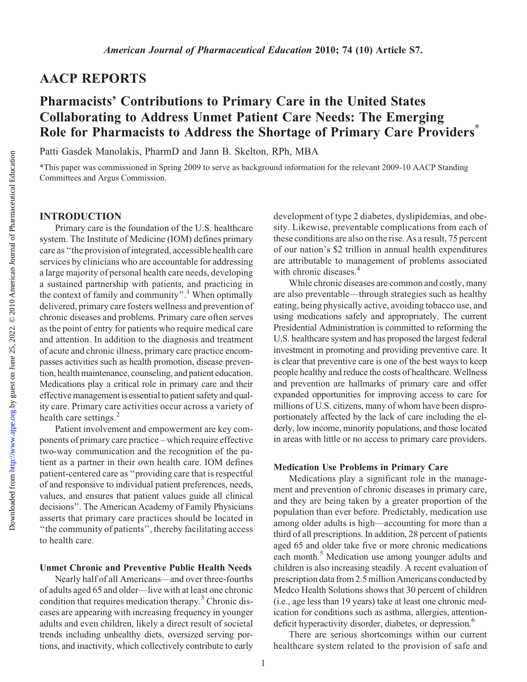## AACP REPORTS

## Pharmacists' Contributions to Primary Care in the United States Collaborating to Address Unmet Patient Care Needs: The Emerging Role for Pharmacists to Address the Shortage of Primary Care Providers<sup>\*</sup>

Patti Gasdek Manolakis, PharmD and Jann B. Skelton, RPh, MBA

\*This paper was commissioned in Spring 2009 to serve as background information for the relevant 2009-10 AACP Standing Committees and Argus Commission.

#### INTRODUCTION

Primary care is the foundation of the U.S. healthcare system. The Institute of Medicine (IOM) defines primary care as ''the provision of integrated, accessible health care services by clinicians who are accountable for addressing a large majority of personal health care needs, developing a sustained partnership with patients, and practicing in the context of family and community".<sup>1</sup> When optimally delivered, primary care fosters wellness and prevention of chronic diseases and problems. Primary care often serves as the point of entry for patients who require medical care and attention. In addition to the diagnosis and treatment of acute and chronic illness, primary care practice encompasses activities such as health promotion, disease prevention, health maintenance, counseling, and patient education. Medications play a critical role in primary care and their effective management is essential to patient safety and quality care. Primary care activities occur across a variety of health care settings.<sup>2</sup>

Patient involvement and empowerment are key components of primary care practice – which require effective two-way communication and the recognition of the patient as a partner in their own health care. IOM defines patient-centered care as ''providing care that is respectful of and responsive to individual patient preferences, needs, values, and ensures that patient values guide all clinical decisions''. The American Academy of Family Physicians asserts that primary care practices should be located in ''the community of patients'', thereby facilitating access to health care.

#### Unmet Chronic and Preventive Public Health Needs

Nearly half of all Americans—and over three-fourths of adults aged 65 and older—live with at least one chronic condition that requires medication therapy.3 Chronic diseases are appearing with increasing frequency in younger adults and even children, likely a direct result of societal trends including unhealthy diets, oversized serving portions, and inactivity, which collectively contribute to early

development of type 2 diabetes, dyslipidemias, and obesity. Likewise, preventable complications from each of these conditions are also on the rise. As a result, 75 percent of our nation's \$2 trillion in annual health expenditures are attributable to management of problems associated with chronic diseases.<sup>4</sup>

While chronic diseases are common and costly, many are also preventable—through strategies such as healthy eating, being physically active, avoiding tobacco use, and using medications safely and appropriately. The current Presidential Administration is committed to reforming the U.S. healthcare system and has proposed the largest federal investment in promoting and providing preventive care. It is clear that preventive care is one of the best ways to keep people healthy and reduce the costs of healthcare. Wellness and prevention are hallmarks of primary care and offer expanded opportunities for improving access to care for millions of U.S. citizens, many of whom have been disproportionately affected by the lack of care including the elderly, low income, minority populations, and those located in areas with little or no access to primary care providers.

#### Medication Use Problems in Primary Care

Medications play a significant role in the management and prevention of chronic diseases in primary care, and they are being taken by a greater proportion of the population than ever before. Predictably, medication use among older adults is high—accounting for more than a third of all prescriptions. In addition, 28 percent of patients aged 65 and older take five or more chronic medications each month.<sup>5</sup> Medication use among younger adults and children is also increasing steadily. A recent evaluation of prescription data from 2.5 million Americans conducted by Medco Health Solutions shows that 30 percent of children (i.e., age less than 19 years) take at least one chronic medication for conditions such as asthma, allergies, attentiondeficit hyperactivity disorder, diabetes, or depression.<sup>6</sup>

There are serious shortcomings within our current healthcare system related to the provision of safe and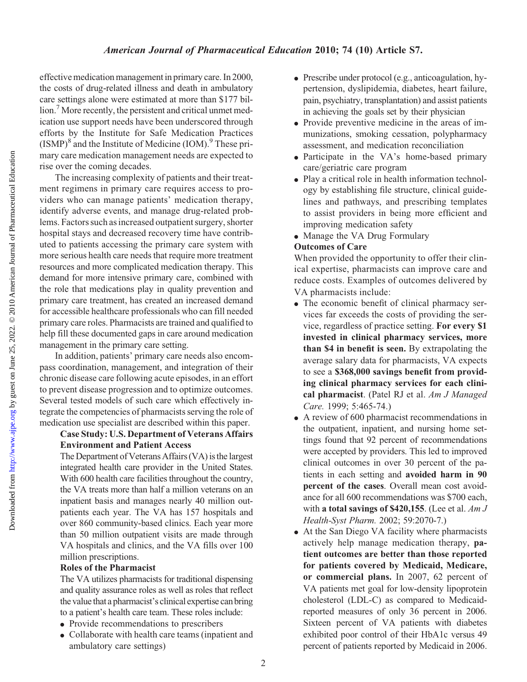effective medication management in primary care. In 2000, the costs of drug-related illness and death in ambulatory care settings alone were estimated at more than \$177 billion.<sup>7</sup> More recently, the persistent and critical unmet medication use support needs have been underscored through efforts by the Institute for Safe Medication Practices  $(ISMP)^8$  and the Institute of Medicine  $(IOM)^9$ . These primary care medication management needs are expected to rise over the coming decades.

The increasing complexity of patients and their treatment regimens in primary care requires access to providers who can manage patients' medication therapy, identify adverse events, and manage drug-related problems. Factors such as increased outpatient surgery, shorter hospital stays and decreased recovery time have contributed to patients accessing the primary care system with more serious health care needs that require more treatment resources and more complicated medication therapy. This demand for more intensive primary care, combined with the role that medications play in quality prevention and primary care treatment, has created an increased demand for accessible healthcare professionals who can fill needed primary care roles. Pharmacists are trained and qualified to help fill these documented gaps in care around medication management in the primary care setting.

In addition, patients' primary care needs also encompass coordination, management, and integration of their chronic disease care following acute episodes, in an effort to prevent disease progression and to optimize outcomes. Several tested models of such care which effectively integrate the competencies of pharmacists serving the role of medication use specialist are described within this paper.

## Case Study: U.S. Department of Veterans Affairs Environment and Patient Access

The Department of Veterans Affairs (VA) is the largest integrated health care provider in the United States. With 600 health care facilities throughout the country, the VA treats more than half a million veterans on an inpatient basis and manages nearly 40 million outpatients each year. The VA has 157 hospitals and over 860 community-based clinics. Each year more than 50 million outpatient visits are made through VA hospitals and clinics, and the VA fills over 100 million prescriptions.

### Roles of the Pharmacist

The VA utilizes pharmacists for traditional dispensing and quality assurance roles as well as roles that reflect the value that a pharmacist's clinical expertise can bring to a patient's health care team. These roles include:

- Provide recommendations to prescribers
- Collaborate with health care teams (inpatient and ambulatory care settings)
- Prescribe under protocol (e.g., anticoagulation, hypertension, dyslipidemia, diabetes, heart failure, pain, psychiatry, transplantation) and assist patients in achieving the goals set by their physician
- Provide preventive medicine in the areas of immunizations, smoking cessation, polypharmacy assessment, and medication reconciliation
- Participate in the VA's home-based primary care/geriatric care program
- Play a critical role in health information technology by establishing file structure, clinical guidelines and pathways, and prescribing templates to assist providers in being more efficient and improving medication safety
- Manage the VA Drug Formulary

## Outcomes of Care

When provided the opportunity to offer their clinical expertise, pharmacists can improve care and reduce costs. Examples of outcomes delivered by VA pharmacists include:

- The economic benefit of clinical pharmacy services far exceeds the costs of providing the service, regardless of practice setting. For every \$1 invested in clinical pharmacy services, more than \$4 in benefit is seen. By extrapolating the average salary data for pharmacists, VA expects to see a \$368,000 savings benefit from providing clinical pharmacy services for each clinical pharmacist. (Patel RJ et al. Am J Managed Care. 1999; 5:465-74.)
- $\bullet$  A review of 600 pharmacist recommendations in the outpatient, inpatient, and nursing home settings found that 92 percent of recommendations were accepted by providers. This led to improved clinical outcomes in over 30 percent of the patients in each setting and avoided harm in 90 percent of the cases. Overall mean cost avoidance for all 600 recommendations was \$700 each, with a total savings of \$420,155. (Lee et al.  $AmJ$ Health-Syst Pharm. 2002; 59:2070-7.)
- At the San Diego VA facility where pharmacists actively help manage medication therapy, patient outcomes are better than those reported for patients covered by Medicaid, Medicare, or commercial plans. In 2007, 62 percent of VA patients met goal for low-density lipoprotein cholesterol (LDL-C) as compared to Medicaidreported measures of only 36 percent in 2006. Sixteen percent of VA patients with diabetes exhibited poor control of their HbA1c versus 49 percent of patients reported by Medicaid in 2006.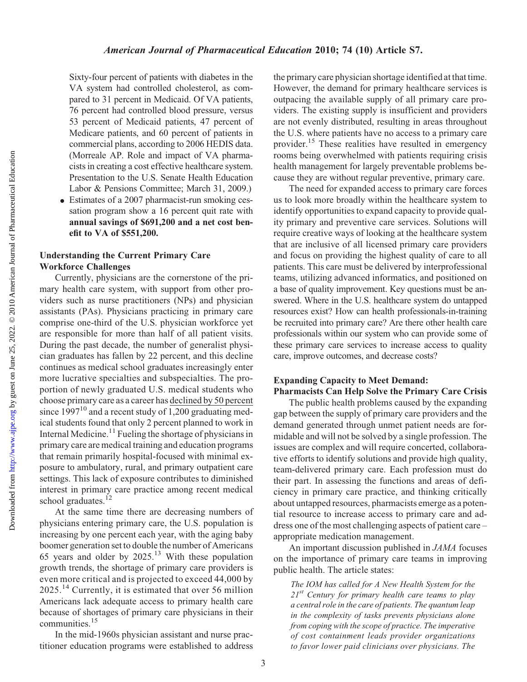Sixty-four percent of patients with diabetes in the VA system had controlled cholesterol, as compared to 31 percent in Medicaid. Of VA patients, 76 percent had controlled blood pressure, versus 53 percent of Medicaid patients, 47 percent of Medicare patients, and 60 percent of patients in commercial plans, according to 2006 HEDIS data. (Morreale AP. Role and impact of VA pharmacists in creating a cost effective healthcare system. Presentation to the U.S. Senate Health Education Labor & Pensions Committee; March 31, 2009.)

 $\bullet$  Estimates of a 2007 pharmacist-run smoking cessation program show a 16 percent quit rate with annual savings of \$691,200 and a net cost benefit to VA of \$551,200.

### Understanding the Current Primary Care Workforce Challenges

Currently, physicians are the cornerstone of the primary health care system, with support from other providers such as nurse practitioners (NPs) and physician assistants (PAs). Physicians practicing in primary care comprise one-third of the U.S. physician workforce yet are responsible for more than half of all patient visits. During the past decade, the number of generalist physician graduates has fallen by 22 percent, and this decline continues as medical school graduates increasingly enter more lucrative specialties and subspecialties. The proportion of newly graduated U.S. medical students who choose primary care as a career has declined by 50 percent since  $1997^{10}$  and a recent study of 1,200 graduating medical students found that only 2 percent planned to work in Internal Medicine.<sup>11</sup> Fueling the shortage of physicians in primary care are medical training and education programs that remain primarily hospital-focused with minimal exposure to ambulatory, rural, and primary outpatient care settings. This lack of exposure contributes to diminished interest in primary care practice among recent medical school graduates. $^{12}$ 

At the same time there are decreasing numbers of physicians entering primary care, the U.S. population is increasing by one percent each year, with the aging baby boomer generation set to double the number of Americans 65 years and older by  $2025$ .<sup>13</sup> With these population growth trends, the shortage of primary care providers is even more critical and is projected to exceed 44,000 by 2025.<sup>14</sup> Currently, it is estimated that over 56 million Americans lack adequate access to primary health care because of shortages of primary care physicians in their communities.15

In the mid-1960s physician assistant and nurse practitioner education programs were established to address the primary care physician shortage identified at that time. However, the demand for primary healthcare services is outpacing the available supply of all primary care providers. The existing supply is insufficient and providers are not evenly distributed, resulting in areas throughout the U.S. where patients have no access to a primary care provider.15 These realities have resulted in emergency rooms being overwhelmed with patients requiring crisis health management for largely preventable problems because they are without regular preventive, primary care.

The need for expanded access to primary care forces us to look more broadly within the healthcare system to identify opportunities to expand capacity to provide quality primary and preventive care services. Solutions will require creative ways of looking at the healthcare system that are inclusive of all licensed primary care providers and focus on providing the highest quality of care to all patients. This care must be delivered by interprofessional teams, utilizing advanced informatics, and positioned on a base of quality improvement. Key questions must be answered. Where in the U.S. healthcare system do untapped resources exist? How can health professionals-in-training be recruited into primary care? Are there other health care professionals within our system who can provide some of these primary care services to increase access to quality care, improve outcomes, and decrease costs?

#### Expanding Capacity to Meet Demand: Pharmacists Can Help Solve the Primary Care Crisis

The public health problems caused by the expanding gap between the supply of primary care providers and the demand generated through unmet patient needs are formidable and will not be solved by a single profession. The issues are complex and will require concerted, collaborative efforts to identify solutions and provide high quality, team-delivered primary care. Each profession must do their part. In assessing the functions and areas of deficiency in primary care practice, and thinking critically about untapped resources, pharmacists emerge as a potential resource to increase access to primary care and address one of the most challenging aspects of patient care – appropriate medication management.

An important discussion published in JAMA focuses on the importance of primary care teams in improving public health. The article states:

The IOM has called for A New Health System for the  $21^{st}$  Century for primary health care teams to play a central role in the care of patients. The quantum leap in the complexity of tasks prevents physicians alone from coping with the scope of practice. The imperative of cost containment leads provider organizations to favor lower paid clinicians over physicians. The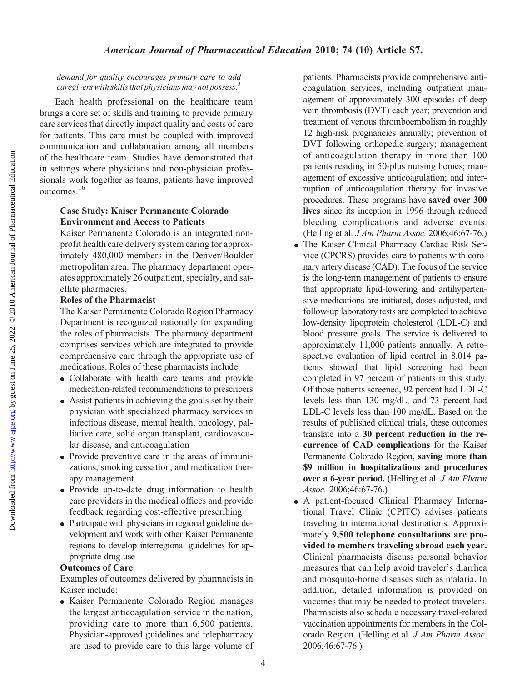demand for quality encourages primary care to add caregivers with skills that physicians may not possess.<sup>1</sup>

Each health professional on the healthcare team brings a core set of skills and training to provide primary care services that directly impact quality and costs of care for patients. This care must be coupled with improved communication and collaboration among all members of the healthcare team. Studies have demonstrated that in settings where physicians and non-physician professionals work together as teams, patients have improved outcomes.16

## Case Study: Kaiser Permanente Colorado Environment and Access to Patients

Kaiser Permanente Colorado is an integrated nonprofit health care delivery system caring for approximately 480,000 members in the Denver/Boulder metropolitan area. The pharmacy department operates approximately 26 outpatient, specialty, and satellite pharmacies.

## Roles of the Pharmacist

The Kaiser Permanente Colorado Region Pharmacy Department is recognized nationally for expanding the roles of pharmacists. The pharmacy department comprises services which are integrated to provide comprehensive care through the appropriate use of medications. Roles of these pharmacists include:

- <sup>d</sup> Collaborate with health care teams and provide medication-related recommendations to prescribers
- Assist patients in achieving the goals set by their physician with specialized pharmacy services in infectious disease, mental health, oncology, palliative care, solid organ transplant, cardiovascular disease, and anticoagulation
- Provide preventive care in the areas of immunizations, smoking cessation, and medication therapy management
- Provide up-to-date drug information to health care providers in the medical offices and provide feedback regarding cost-effective prescribing
- Participate with physicians in regional guideline development and work with other Kaiser Permanente regions to develop interregional guidelines for appropriate drug use

## Outcomes of Care

Examples of outcomes delivered by pharmacists in Kaiser include:

<sup>d</sup> Kaiser Permanente Colorado Region manages the largest anticoagulation service in the nation, providing care to more than 6,500 patients. Physician-approved guidelines and telepharmacy are used to provide care to this large volume of patients. Pharmacists provide comprehensive anticoagulation services, including outpatient management of approximately 300 episodes of deep vein thrombosis (DVT) each year; prevention and treatment of venous thromboembolism in roughly 12 high-risk pregnancies annually; prevention of DVT following orthopedic surgery; management of anticoagulation therapy in more than 100 patients residing in 50-plus nursing homes; management of excessive anticoagulation; and interruption of anticoagulation therapy for invasive procedures. These programs have saved over 300 lives since its inception in 1996 through reduced bleeding complications and adverse events. (Helling et al. J Am Pharm Assoc. 2006;46:67-76.)

- The Kaiser Clinical Pharmacy Cardiac Risk Service (CPCRS) provides care to patients with coronary artery disease (CAD). The focus of the service is the long-term management of patients to ensure that appropriate lipid-lowering and antihypertensive medications are initiated, doses adjusted, and follow-up laboratory tests are completed to achieve low-density lipoprotein cholesterol (LDL-C) and blood pressure goals. The service is delivered to approximately 11,000 patients annually. A retrospective evaluation of lipid control in 8,014 patients showed that lipid screening had been completed in 97 percent of patients in this study. Of those patients screened, 92 percent had LDL-C levels less than 130 mg/dL, and 73 percent had LDL-C levels less than 100 mg/dL. Based on the results of published clinical trials, these outcomes translate into a 30 percent reduction in the recurrence of CAD complications for the Kaiser Permanente Colorado Region, saving more than \$9 million in hospitalizations and procedures over a 6-year period. (Helling et al. J Am Pharm Assoc. 2006;46:67-76.)
- <sup>d</sup> A patient-focused Clinical Pharmacy International Travel Clinic (CPITC) advises patients traveling to international destinations. Approximately 9,500 telephone consultations are provided to members traveling abroad each year. Clinical pharmacists discuss personal behavior measures that can help avoid traveler's diarrhea and mosquito-borne diseases such as malaria. In addition, detailed information is provided on vaccines that may be needed to protect travelers. Pharmacists also schedule necessary travel-related vaccination appointments for members in the Colorado Region. (Helling et al. J Am Pharm Assoc. 2006;46:67-76.)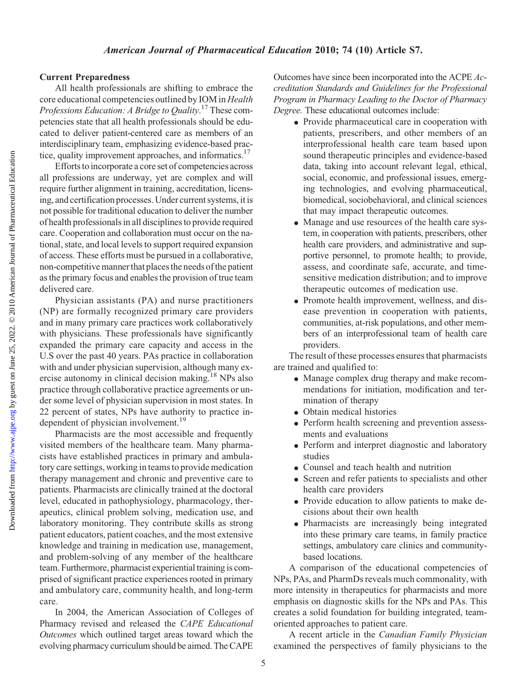# Current Preparedness All health professionals are shifting to embrace the core educational competencies outlined by IOM in Health Professions Education: A Bridge to Quality.<sup>17</sup> These competencies state that all health professionals should be educated to deliver patient-centered care as members of an interdisciplinary team, emphasizing evidence-based practice, quality improvement approaches, and informatics.<sup>17</sup>

Efforts to incorporate a core set of competencies across all professions are underway, yet are complex and will require further alignment in training, accreditation, licensing, and certification processes. Under current systems, it is not possible for traditional education to deliver the number of health professionals in all disciplines to provide required care. Cooperation and collaboration must occur on the national, state, and local levels to support required expansion of access. These efforts must be pursued in a collaborative, non-competitive manner that places the needs of the patient as the primary focus and enables the provision of true team

delivered care. Physician assistants (PA) and nurse practitioners (NP) are formally recognized primary care providers and in many primary care practices work collaboratively with physicians. These professionals have significantly expanded the primary care capacity and access in the U.S over the past 40 years. PAs practice in collaboration with and under physician supervision, although many exercise autonomy in clinical decision making.18 NPs also practice through collaborative practice agreements or under some level of physician supervision in most states. In 22 percent of states, NPs have authority to practice independent of physician involvement.<sup>19</sup>

Pharmacists are the most accessible and frequently visited members of the healthcare team. Many pharmacists have established practices in primary and ambulatory care settings, working in teams to provide medication therapy management and chronic and preventive care to patients. Pharmacists are clinically trained at the doctoral level, educated in pathophysiology, pharmacology, therapeutics, clinical problem solving, medication use, and laboratory monitoring. They contribute skills as strong patient educators, patient coaches, and the most extensive knowledge and training in medication use, management, and problem-solving of any member of the healthcare team. Furthermore, pharmacist experiential training is comprised of significant practice experiences rooted in primary and ambulatory care, community health, and long-term care.

In 2004, the American Association of Colleges of Pharmacy revised and released the CAPE Educational Outcomes which outlined target areas toward which the evolving pharmacy curriculum should be aimed. The CAPE

Outcomes have since been incorporated into the ACPE Accreditation Standards and Guidelines for the Professional Program in Pharmacy Leading to the Doctor of Pharmacy Degree. These educational outcomes include:

- Provide pharmaceutical care in cooperation with patients, prescribers, and other members of an interprofessional health care team based upon sound therapeutic principles and evidence-based data, taking into account relevant legal, ethical, social, economic, and professional issues, emerging technologies, and evolving pharmaceutical, biomedical, sociobehavioral, and clinical sciences that may impact therapeutic outcomes.
- Manage and use resources of the health care system, in cooperation with patients, prescribers, other health care providers, and administrative and supportive personnel, to promote health; to provide, assess, and coordinate safe, accurate, and timesensitive medication distribution; and to improve therapeutic outcomes of medication use.
- Promote health improvement, wellness, and disease prevention in cooperation with patients, communities, at-risk populations, and other members of an interprofessional team of health care providers.

The result of these processes ensures that pharmacists are trained and qualified to:

- Manage complex drug therapy and make recommendations for initiation, modification and termination of therapy
- Obtain medical histories
- Perform health screening and prevention assessments and evaluations
- Perform and interpret diagnostic and laboratory studies
- Counsel and teach health and nutrition
- Screen and refer patients to specialists and other health care providers
- Provide education to allow patients to make decisions about their own health
- <sup>d</sup> Pharmacists are increasingly being integrated into these primary care teams, in family practice settings, ambulatory care clinics and communitybased locations.

A comparison of the educational competencies of NPs, PAs, and PharmDs reveals much commonality, with more intensity in therapeutics for pharmacists and more emphasis on diagnostic skills for the NPs and PAs. This creates a solid foundation for building integrated, teamoriented approaches to patient care.

A recent article in the Canadian Family Physician examined the perspectives of family physicians to the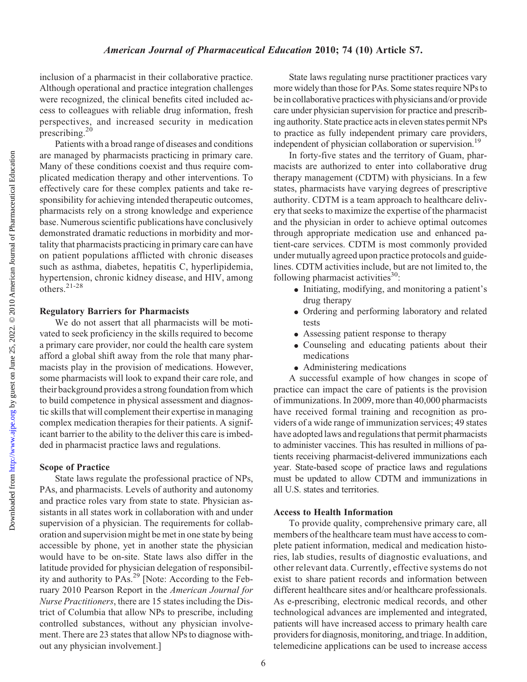#### American Journal of Pharmaceutical Education 2010; 74 (10) Article S7.

inclusion of a pharmacist in their collaborative practice. Although operational and practice integration challenges were recognized, the clinical benefits cited included access to colleagues with reliable drug information, fresh perspectives, and increased security in medication prescribing.<sup>20</sup>

Patients with a broad range of diseases and conditions are managed by pharmacists practicing in primary care. Many of these conditions coexist and thus require complicated medication therapy and other interventions. To effectively care for these complex patients and take responsibility for achieving intended therapeutic outcomes, pharmacists rely on a strong knowledge and experience base. Numerous scientific publications have conclusively demonstrated dramatic reductions in morbidity and mortality that pharmacists practicing in primary care can have on patient populations afflicted with chronic diseases such as asthma, diabetes, hepatitis C, hyperlipidemia, hypertension, chronic kidney disease, and HIV, among others.21-28

#### Regulatory Barriers for Pharmacists

We do not assert that all pharmacists will be motivated to seek proficiency in the skills required to become a primary care provider, nor could the health care system afford a global shift away from the role that many pharmacists play in the provision of medications. However, some pharmacists will look to expand their care role, and their background provides a strong foundation from which to build competence in physical assessment and diagnostic skills that will complement their expertise in managing complex medication therapies for their patients. A significant barrier to the ability to the deliver this care is imbedded in pharmacist practice laws and regulations.

#### Scope of Practice

State laws regulate the professional practice of NPs, PAs, and pharmacists. Levels of authority and autonomy and practice roles vary from state to state. Physician assistants in all states work in collaboration with and under supervision of a physician. The requirements for collaboration and supervision might be met in one state by being accessible by phone, yet in another state the physician would have to be on-site. State laws also differ in the latitude provided for physician delegation of responsibility and authority to PAs.29 [Note: According to the February 2010 Pearson Report in the American Journal for Nurse Practitioners, there are 15 states including the District of Columbia that allow NPs to prescribe, including controlled substances, without any physician involvement. There are 23 states that allow NPs to diagnose without any physician involvement.]

State laws regulating nurse practitioner practices vary more widely than those for PAs. Some states require NPs to be in collaborative practices with physicians and/or provide care under physician supervision for practice and prescribing authority. State practice acts in eleven states permit NPs to practice as fully independent primary care providers, independent of physician collaboration or supervision.<sup>19</sup>

In forty-five states and the territory of Guam, pharmacists are authorized to enter into collaborative drug therapy management (CDTM) with physicians. In a few states, pharmacists have varying degrees of prescriptive authority. CDTM is a team approach to healthcare delivery that seeks to maximize the expertise of the pharmacist and the physician in order to achieve optimal outcomes through appropriate medication use and enhanced patient-care services. CDTM is most commonly provided under mutually agreed upon practice protocols and guidelines. CDTM activities include, but are not limited to, the following pharmacist activities $^{30}$ :

- $\bullet$  Initiating, modifying, and monitoring a patient's drug therapy
- Ordering and performing laboratory and related tests
- Assessing patient response to therapy
- Counseling and educating patients about their medications
- Administering medications

A successful example of how changes in scope of practice can impact the care of patients is the provision of immunizations. In 2009, more than 40,000 pharmacists have received formal training and recognition as providers of a wide range of immunization services; 49 states have adopted laws and regulations that permit pharmacists to administer vaccines. This has resulted in millions of patients receiving pharmacist-delivered immunizations each year. State-based scope of practice laws and regulations must be updated to allow CDTM and immunizations in all U.S. states and territories.

#### Access to Health Information

To provide quality, comprehensive primary care, all members of the healthcare team must have access to complete patient information, medical and medication histories, lab studies, results of diagnostic evaluations, and other relevant data. Currently, effective systems do not exist to share patient records and information between different healthcare sites and/or healthcare professionals. As e-prescribing, electronic medical records, and other technological advances are implemented and integrated, patients will have increased access to primary health care providers for diagnosis, monitoring, and triage. In addition, telemedicine applications can be used to increase access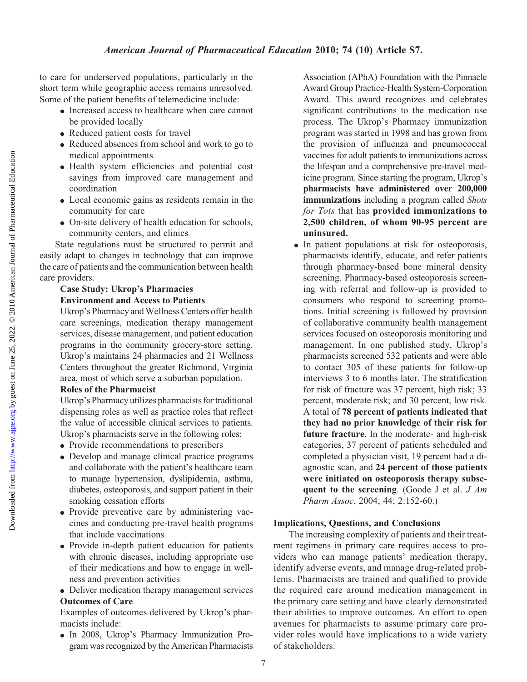to care for underserved populations, particularly in the short term while geographic access remains unresolved. Some of the patient benefits of telemedicine include:

- Increased access to healthcare when care cannot be provided locally
- Reduced patient costs for travel
- Reduced absences from school and work to go to medical appointments
- <sup>d</sup> Health system efficiencies and potential cost savings from improved care management and coordination
- Local economic gains as residents remain in the community for care
- On-site delivery of health education for schools, community centers, and clinics

State regulations must be structured to permit and easily adapt to changes in technology that can improve the care of patients and the communication between health care providers.

## Case Study: Ukrop's Pharmacies Environment and Access to Patients

Ukrop's Pharmacy and Wellness Centers offer health care screenings, medication therapy management services, disease management, and patient education programs in the community grocery-store setting. Ukrop's maintains 24 pharmacies and 21 Wellness Centers throughout the greater Richmond, Virginia area, most of which serve a suburban population.

## Roles of the Pharmacist

Ukrop's Pharmacy utilizes pharmacists for traditional dispensing roles as well as practice roles that reflect the value of accessible clinical services to patients. Ukrop's pharmacists serve in the following roles:

- Provide recommendations to prescribers
- Develop and manage clinical practice programs and collaborate with the patient's healthcare team to manage hypertension, dyslipidemia, asthma, diabetes, osteoporosis, and support patient in their smoking cessation efforts
- Provide preventive care by administering vaccines and conducting pre-travel health programs that include vaccinations
- Provide in-depth patient education for patients with chronic diseases, including appropriate use of their medications and how to engage in wellness and prevention activities
- Deliver medication therapy management services Outcomes of Care

Examples of outcomes delivered by Ukrop's pharmacists include:

<sup>d</sup> In 2008, Ukrop's Pharmacy Immunization Program was recognized by the American Pharmacists

Association (APhA) Foundation with the Pinnacle Award Group Practice-Health System-Corporation Award. This award recognizes and celebrates significant contributions to the medication use process. The Ukrop's Pharmacy immunization program was started in 1998 and has grown from the provision of influenza and pneumococcal vaccines for adult patients to immunizations across the lifespan and a comprehensive pre-travel medicine program. Since starting the program, Ukrop's pharmacists have administered over 200,000 immunizations including a program called Shots for Tots that has provided immunizations to 2,500 children, of whom 90-95 percent are uninsured.

• In patient populations at risk for osteoporosis, pharmacists identify, educate, and refer patients through pharmacy-based bone mineral density screening. Pharmacy-based osteoporosis screening with referral and follow-up is provided to consumers who respond to screening promotions. Initial screening is followed by provision of collaborative community health management services focused on osteoporosis monitoring and management. In one published study, Ukrop's pharmacists screened 532 patients and were able to contact 305 of these patients for follow-up interviews 3 to 6 months later. The stratification for risk of fracture was 37 percent, high risk; 33 percent, moderate risk; and 30 percent, low risk. A total of 78 percent of patients indicated that they had no prior knowledge of their risk for future fracture. In the moderate- and high-risk categories, 37 percent of patients scheduled and completed a physician visit, 19 percent had a diagnostic scan, and 24 percent of those patients were initiated on osteoporosis therapy subsequent to the screening. (Goode J et al.  $J \, Am$ Pharm Assoc. 2004; 44; 2:152-60.)

## Implications, Questions, and Conclusions

The increasing complexity of patients and their treatment regimens in primary care requires access to providers who can manage patients' medication therapy, identify adverse events, and manage drug-related problems. Pharmacists are trained and qualified to provide the required care around medication management in the primary care setting and have clearly demonstrated their abilities to improve outcomes. An effort to open avenues for pharmacists to assume primary care provider roles would have implications to a wide variety of stakeholders.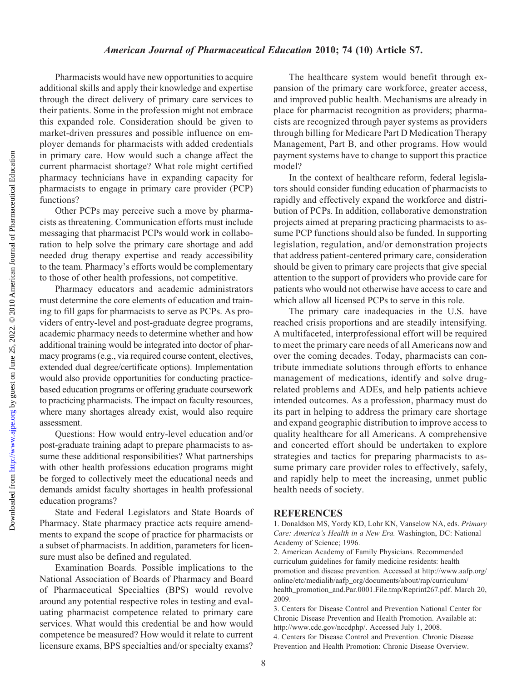Pharmacists would have new opportunities to acquire additional skills and apply their knowledge and expertise through the direct delivery of primary care services to their patients. Some in the profession might not embrace this expanded role. Consideration should be given to market-driven pressures and possible influence on employer demands for pharmacists with added credentials in primary care. How would such a change affect the current pharmacist shortage? What role might certified pharmacy technicians have in expanding capacity for pharmacists to engage in primary care provider (PCP) functions?

Other PCPs may perceive such a move by pharmacists as threatening. Communication efforts must include messaging that pharmacist PCPs would work in collaboration to help solve the primary care shortage and add needed drug therapy expertise and ready accessibility to the team. Pharmacy's efforts would be complementary to those of other health professions, not competitive.

Pharmacy educators and academic administrators must determine the core elements of education and training to fill gaps for pharmacists to serve as PCPs. As providers of entry-level and post-graduate degree programs, academic pharmacy needs to determine whether and how additional training would be integrated into doctor of pharmacy programs (e.g., via required course content, electives, extended dual degree/certificate options). Implementation would also provide opportunities for conducting practicebased education programs or offering graduate coursework to practicing pharmacists. The impact on faculty resources, where many shortages already exist, would also require assessment.

Questions: How would entry-level education and/or post-graduate training adapt to prepare pharmacists to assume these additional responsibilities? What partnerships with other health professions education programs might be forged to collectively meet the educational needs and demands amidst faculty shortages in health professional education programs?

State and Federal Legislators and State Boards of Pharmacy. State pharmacy practice acts require amendments to expand the scope of practice for pharmacists or a subset of pharmacists. In addition, parameters for licensure must also be defined and regulated.

Examination Boards. Possible implications to the National Association of Boards of Pharmacy and Board of Pharmaceutical Specialties (BPS) would revolve around any potential respective roles in testing and evaluating pharmacist competence related to primary care services. What would this credential be and how would competence be measured? How would it relate to current licensure exams, BPS specialties and/or specialty exams?

The healthcare system would benefit through expansion of the primary care workforce, greater access, and improved public health. Mechanisms are already in place for pharmacist recognition as providers; pharmacists are recognized through payer systems as providers through billing for Medicare Part D Medication Therapy Management, Part B, and other programs. How would payment systems have to change to support this practice model?

In the context of healthcare reform, federal legislators should consider funding education of pharmacists to rapidly and effectively expand the workforce and distribution of PCPs. In addition, collaborative demonstration projects aimed at preparing practicing pharmacists to assume PCP functions should also be funded. In supporting legislation, regulation, and/or demonstration projects that address patient-centered primary care, consideration should be given to primary care projects that give special attention to the support of providers who provide care for patients who would not otherwise have access to care and which allow all licensed PCPs to serve in this role.

The primary care inadequacies in the U.S. have reached crisis proportions and are steadily intensifying. A multifaceted, interprofessional effort will be required to meet the primary care needs of all Americans now and over the coming decades. Today, pharmacists can contribute immediate solutions through efforts to enhance management of medications, identify and solve drugrelated problems and ADEs, and help patients achieve intended outcomes. As a profession, pharmacy must do its part in helping to address the primary care shortage and expand geographic distribution to improve access to quality healthcare for all Americans. A comprehensive and concerted effort should be undertaken to explore strategies and tactics for preparing pharmacists to assume primary care provider roles to effectively, safely, and rapidly help to meet the increasing, unmet public health needs of society.

#### **REFERENCES**

1. Donaldson MS, Yordy KD, Lohr KN, Vanselow NA, eds. Primary Care: America's Health in a New Era. Washington, DC: National Academy of Science; 1996.

2. American Academy of Family Physicians. Recommended curriculum guidelines for family medicine residents: health promotion and disease prevention. Accessed at http://www.aafp.org/ online/etc/medialib/aafp\_org/documents/about/rap/curriculum/ health\_promotion\_and.Par.0001.File.tmp/Reprint267.pdf. March 20, 2009.

3. Centers for Disease Control and Prevention National Center for Chronic Disease Prevention and Health Promotion. Available at: http://www.cdc.gov/nccdphp/. Accessed July 1, 2008. 4. Centers for Disease Control and Prevention. Chronic Disease Prevention and Health Promotion: Chronic Disease Overview.